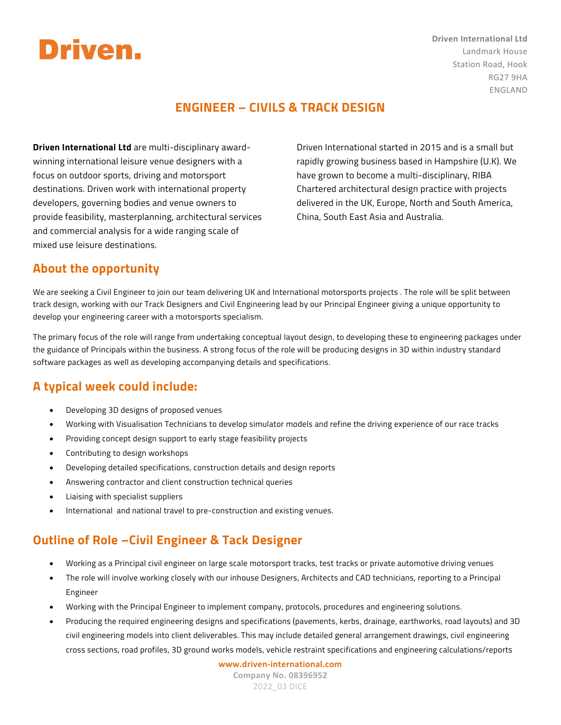

**Driven International Ltd** Landmark House Station Road, Hook RG27 9HA ENGLAND

### **ENGINEER – CIVILS & TRACK DESIGN**

**Driven International Ltd** are multi-disciplinary awardwinning international leisure venue designers with a focus on outdoor sports, driving and motorsport destinations. Driven work with international property developers, governing bodies and venue owners to provide feasibility, masterplanning, architectural services and commercial analysis for a wide ranging scale of mixed use leisure destinations.

Driven International started in 2015 and is a small but rapidly growing business based in Hampshire (U.K). We have grown to become a multi-disciplinary, RIBA Chartered architectural design practice with projects delivered in the UK, Europe, North and South America, China, South East Asia and Australia.

### **About the opportunity**

We are seeking a Civil Engineer to join our team delivering UK and International motorsports projects . The role will be split between track design, working with our Track Designers and Civil Engineering lead by our Principal Engineer giving a unique opportunity to develop your engineering career with a motorsports specialism.

The primary focus of the role will range from undertaking conceptual layout design, to developing these to engineering packages under the guidance of Principals within the business. A strong focus of the role will be producing designs in 3D within industry standard software packages as well as developing accompanying details and specifications.

### **A typical week could include:**

- Developing 3D designs of proposed venues
- Working with Visualisation Technicians to develop simulator models and refine the driving experience of our race tracks
- Providing concept design support to early stage feasibility projects
- Contributing to design workshops
- Developing detailed specifications, construction details and design reports
- Answering contractor and client construction technical queries
- Liaising with specialist suppliers
- International and national travel to pre-construction and existing venues.

### **Outline of Role –Civil Engineer & Tack Designer**

- Working as a Principal civil engineer on large scale motorsport tracks, test tracks or private automotive driving venues
- The role will involve working closely with our inhouse Designers, Architects and CAD technicians, reporting to a Principal Engineer
- Working with the Principal Engineer to implement company, protocols, procedures and engineering solutions.
- Producing the required engineering designs and specifications (pavements, kerbs, drainage, earthworks, road layouts) and 3D civil engineering models into client deliverables. This may include detailed general arrangement drawings, civil engineering cross sections, road profiles, 3D ground works models, vehicle restraint specifications and engineering calculations/reports

**www.driven-international.com Company No. 08396952** 2022\_03 DICE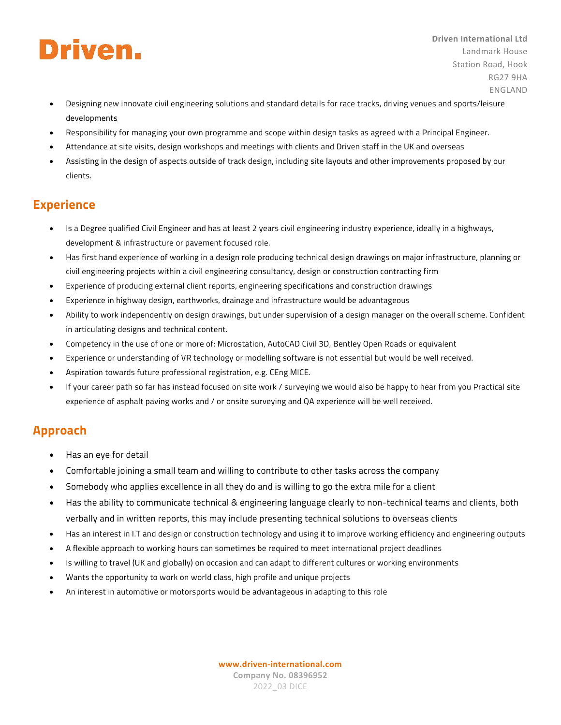# Driven.

- **Driven International Ltd** Landmark House Station Road, Hook RG27 9HA ENGLAND
- Designing new innovate civil engineering solutions and standard details for race tracks, driving venues and sports/leisure developments
- Responsibility for managing your own programme and scope within design tasks as agreed with a Principal Engineer.
- Attendance at site visits, design workshops and meetings with clients and Driven staff in the UK and overseas
- Assisting in the design of aspects outside of track design, including site layouts and other improvements proposed by our clients.

### **Experience**

- Is a Degree qualified Civil Engineer and has at least 2 years civil engineering industry experience, ideally in a highways, development & infrastructure or pavement focused role.
- Has first hand experience of working in a design role producing technical design drawings on major infrastructure, planning or civil engineering projects within a civil engineering consultancy, design or construction contracting firm
- Experience of producing external client reports, engineering specifications and construction drawings
- Experience in highway design, earthworks, drainage and infrastructure would be advantageous
- Ability to work independently on design drawings, but under supervision of a design manager on the overall scheme. Confident in articulating designs and technical content.
- Competency in the use of one or more of: Microstation, AutoCAD Civil 3D, Bentley Open Roads or equivalent
- Experience or understanding of VR technology or modelling software is not essential but would be well received.
- Aspiration towards future professional registration, e.g. CEng MICE.
- If your career path so far has instead focused on site work / surveying we would also be happy to hear from you Practical site experience of asphalt paving works and / or onsite surveying and QA experience will be well received.

### **Approach**

- Has an eye for detail
- Comfortable joining a small team and willing to contribute to other tasks across the company
- Somebody who applies excellence in all they do and is willing to go the extra mile for a client
- Has the ability to communicate technical & engineering language clearly to non-technical teams and clients, both verbally and in written reports, this may include presenting technical solutions to overseas clients
- Has an interest in I.T and design or construction technology and using it to improve working efficiency and engineering outputs
- A flexible approach to working hours can sometimes be required to meet international project deadlines
- Is willing to travel (UK and globally) on occasion and can adapt to different cultures or working environments
- Wants the opportunity to work on world class, high profile and unique projects
- An interest in automotive or motorsports would be advantageous in adapting to this role

**www.driven-international.com Company No. 08396952** 2022\_03 DICE